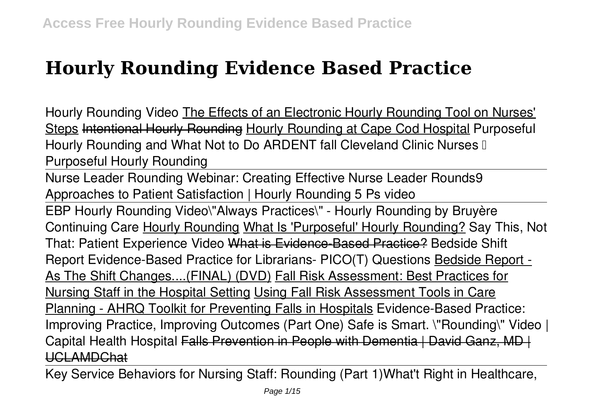## **Hourly Rounding Evidence Based Practice**

**Hourly Rounding Video** The Effects of an Electronic Hourly Rounding Tool on Nurses' Steps Intentional Hourly Rounding Hourly Rounding at Cape Cod Hospital *Purposeful Hourly Rounding and What Not to Do ARDENT fall* **Cleveland Clinic Nurses – Purposeful Hourly Rounding**

Nurse Leader Rounding Webinar: Creating Effective Nurse Leader Rounds*9 Approaches to Patient Satisfaction | Hourly Rounding 5 Ps video*

EBP Hourly Rounding Video**\"Always Practices\" - Hourly Rounding by Bruyère Continuing Care** Hourly Rounding What Is 'Purposeful' Hourly Rounding? Say This, Not That: Patient Experience Video What is Evidence-Based Practice? **Bedside Shift Report Evidence-Based Practice for Librarians- PICO(T) Questions** Bedside Report - As The Shift Changes....(FINAL) (DVD) Fall Risk Assessment: Best Practices for Nursing Staff in the Hospital Setting Using Fall Risk Assessment Tools in Care Planning - AHRQ Toolkit for Preventing Falls in Hospitals *Evidence-Based Practice: Improving Practice, Improving Outcomes (Part One)* **Safe is Smart. \"Rounding\" Video | Capital Health Hospital** Falls Prevention in People with Dementia | David Ganz, MD | UCLAMDChat

Key Service Behaviors for Nursing Staff: Rounding (Part 1)*What't Right in Healthcare,*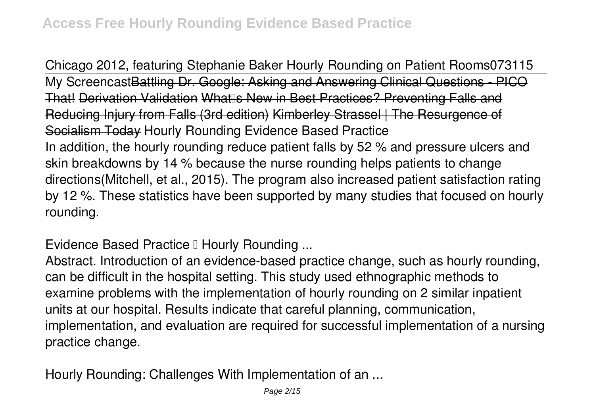*Chicago 2012, featuring Stephanie Baker Hourly Rounding on Patient Rooms073115* My ScreencastBattling Dr. Google: Asking and Answering Clinical Questions - PICO That! Derivation Validation What Is New in Best Practices? Preventing Falls and Reducing Injury from Falls (3rd edition) Kimberley Strassel | The Resurgence Socialism Today *Hourly Rounding Evidence Based Practice* In addition, the hourly rounding reduce patient falls by 52 % and pressure ulcers and skin breakdowns by 14 % because the nurse rounding helps patients to change directions(Mitchell, et al., 2015). The program also increased patient satisfaction rating by 12 %. These statistics have been supported by many studies that focused on hourly rounding.

**Evidence Based Practice II Hourly Rounding ...** 

Abstract. Introduction of an evidence-based practice change, such as hourly rounding, can be difficult in the hospital setting. This study used ethnographic methods to examine problems with the implementation of hourly rounding on 2 similar inpatient units at our hospital. Results indicate that careful planning, communication, implementation, and evaluation are required for successful implementation of a nursing practice change.

*Hourly Rounding: Challenges With Implementation of an ...*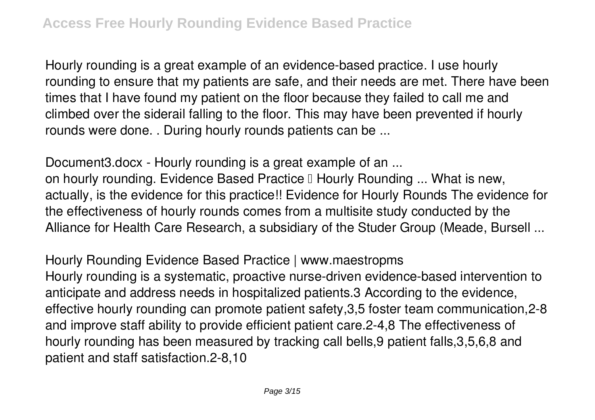Hourly rounding is a great example of an evidence-based practice. I use hourly rounding to ensure that my patients are safe, and their needs are met. There have been times that I have found my patient on the floor because they failed to call me and climbed over the siderail falling to the floor. This may have been prevented if hourly rounds were done. . During hourly rounds patients can be ...

*Document3.docx - Hourly rounding is a great example of an ...* on hourly rounding. Evidence Based Practice II Hourly Rounding ... What is new, actually, is the evidence for this practice!! Evidence for Hourly Rounds The evidence for the effectiveness of hourly rounds comes from a multisite study conducted by the Alliance for Health Care Research, a subsidiary of the Studer Group (Meade, Bursell ...

*Hourly Rounding Evidence Based Practice | www.maestropms* Hourly rounding is a systematic, proactive nurse-driven evidence-based intervention to anticipate and address needs in hospitalized patients.3 According to the evidence, effective hourly rounding can promote patient safety,3,5 foster team communication,2-8 and improve staff ability to provide efficient patient care.2-4,8 The effectiveness of hourly rounding has been measured by tracking call bells,9 patient falls,3,5,6,8 and patient and staff satisfaction.2-8,10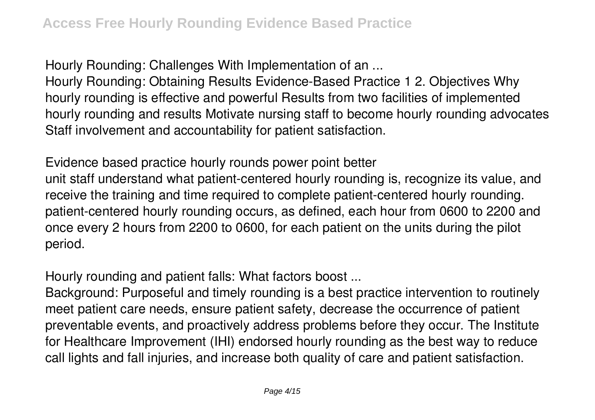*Hourly Rounding: Challenges With Implementation of an ...*

Hourly Rounding: Obtaining Results Evidence-Based Practice 1 2. Objectives Why hourly rounding is effective and powerful Results from two facilities of implemented hourly rounding and results Motivate nursing staff to become hourly rounding advocates Staff involvement and accountability for patient satisfaction.

*Evidence based practice hourly rounds power point better* unit staff understand what patient-centered hourly rounding is, recognize its value, and receive the training and time required to complete patient-centered hourly rounding. patient-centered hourly rounding occurs, as defined, each hour from 0600 to 2200 and once every 2 hours from 2200 to 0600, for each patient on the units during the pilot period.

*Hourly rounding and patient falls: What factors boost ...*

Background: Purposeful and timely rounding is a best practice intervention to routinely meet patient care needs, ensure patient safety, decrease the occurrence of patient preventable events, and proactively address problems before they occur. The Institute for Healthcare Improvement (IHI) endorsed hourly rounding as the best way to reduce call lights and fall injuries, and increase both quality of care and patient satisfaction.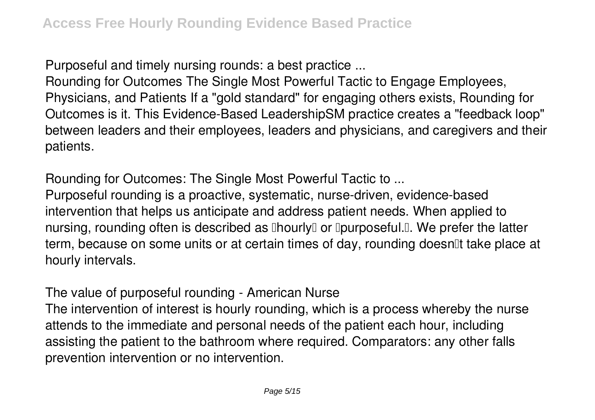*Purposeful and timely nursing rounds: a best practice ...*

Rounding for Outcomes The Single Most Powerful Tactic to Engage Employees, Physicians, and Patients If a "gold standard" for engaging others exists, Rounding for Outcomes is it. This Evidence-Based LeadershipSM practice creates a "feedback loop" between leaders and their employees, leaders and physicians, and caregivers and their patients.

*Rounding for Outcomes: The Single Most Powerful Tactic to ...* Purposeful rounding is a proactive, systematic, nurse-driven, evidence-based intervention that helps us anticipate and address patient needs. When applied to nursing, rounding often is described as  $\Box$ hourly $\Box$  or  $\Box$ purposeful. $\Box$ . We prefer the latter term, because on some units or at certain times of day, rounding doesnot take place at hourly intervals.

*The value of purposeful rounding - American Nurse*

The intervention of interest is hourly rounding, which is a process whereby the nurse attends to the immediate and personal needs of the patient each hour, including assisting the patient to the bathroom where required. Comparators: any other falls prevention intervention or no intervention.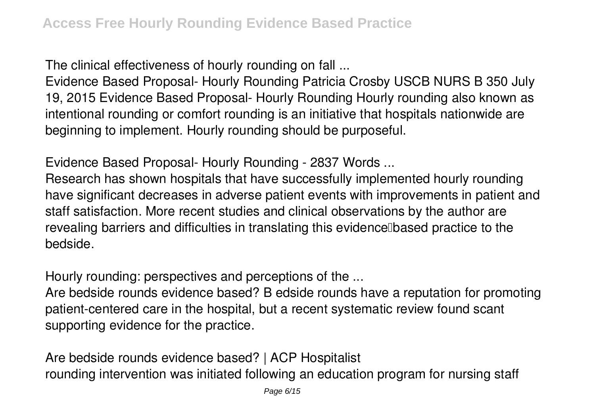*The clinical effectiveness of hourly rounding on fall ...*

Evidence Based Proposal- Hourly Rounding Patricia Crosby USCB NURS B 350 July 19, 2015 Evidence Based Proposal- Hourly Rounding Hourly rounding also known as intentional rounding or comfort rounding is an initiative that hospitals nationwide are beginning to implement. Hourly rounding should be purposeful.

*Evidence Based Proposal- Hourly Rounding - 2837 Words ...*

Research has shown hospitals that have successfully implemented hourly rounding have significant decreases in adverse patient events with improvements in patient and staff satisfaction. More recent studies and clinical observations by the author are revealing barriers and difficulties in translating this evidence based practice to the bedside.

*Hourly rounding: perspectives and perceptions of the ...*

Are bedside rounds evidence based? B edside rounds have a reputation for promoting patient-centered care in the hospital, but a recent systematic review found scant supporting evidence for the practice.

*Are bedside rounds evidence based? | ACP Hospitalist* rounding intervention was initiated following an education program for nursing staff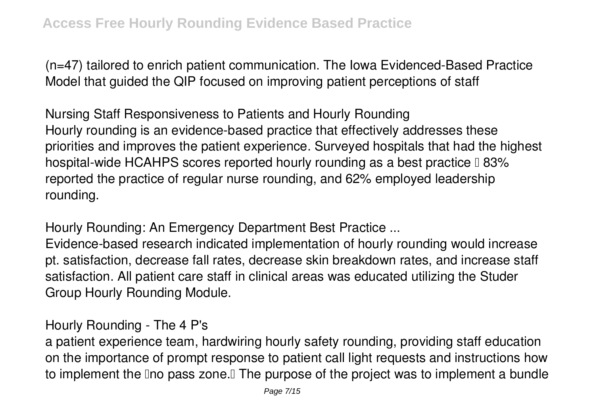(n=47) tailored to enrich patient communication. The Iowa Evidenced-Based Practice Model that guided the QIP focused on improving patient perceptions of staff

*Nursing Staff Responsiveness to Patients and Hourly Rounding* Hourly rounding is an evidence-based practice that effectively addresses these priorities and improves the patient experience. Surveyed hospitals that had the highest hospital-wide HCAHPS scores reported hourly rounding as a best practice  $\mathbb I$  83% reported the practice of regular nurse rounding, and 62% employed leadership rounding.

*Hourly Rounding: An Emergency Department Best Practice ...*

Evidence-based research indicated implementation of hourly rounding would increase pt. satisfaction, decrease fall rates, decrease skin breakdown rates, and increase staff satisfaction. All patient care staff in clinical areas was educated utilizing the Studer Group Hourly Rounding Module.

*Hourly Rounding - The 4 P's*

a patient experience team, hardwiring hourly safety rounding, providing staff education on the importance of prompt response to patient call light requests and instructions how to implement the Ino pass zone. I The purpose of the project was to implement a bundle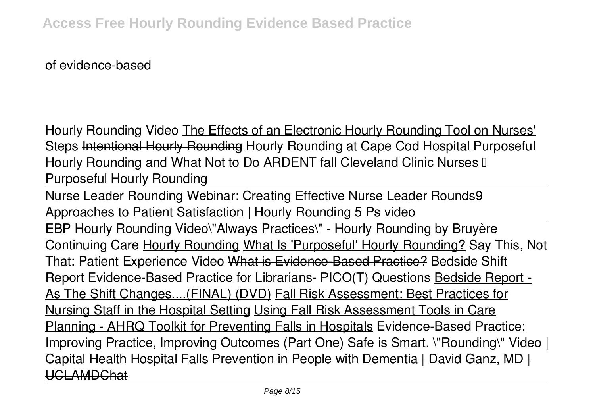of evidence-based

**Hourly Rounding Video** The Effects of an Electronic Hourly Rounding Tool on Nurses' Steps Intentional Hourly Rounding Hourly Rounding at Cape Cod Hospital *Purposeful Hourly Rounding and What Not to Do ARDENT fall* **Cleveland Clinic Nurses – Purposeful Hourly Rounding**

Nurse Leader Rounding Webinar: Creating Effective Nurse Leader Rounds*9 Approaches to Patient Satisfaction | Hourly Rounding 5 Ps video*

EBP Hourly Rounding Video**\"Always Practices\" - Hourly Rounding by Bruyère Continuing Care** Hourly Rounding What Is 'Purposeful' Hourly Rounding? Say This, Not That: Patient Experience Video What is Evidence-Based Practice? **Bedside Shift Report Evidence-Based Practice for Librarians- PICO(T) Questions** Bedside Report - As The Shift Changes....(FINAL) (DVD) Fall Risk Assessment: Best Practices for Nursing Staff in the Hospital Setting Using Fall Risk Assessment Tools in Care Planning - AHRQ Toolkit for Preventing Falls in Hospitals *Evidence-Based Practice: Improving Practice, Improving Outcomes (Part One)* **Safe is Smart. \"Rounding\" Video | Capital Health Hospital** Falls Prevention in People with Dementia | David Ganz, MD | UCLAMDChat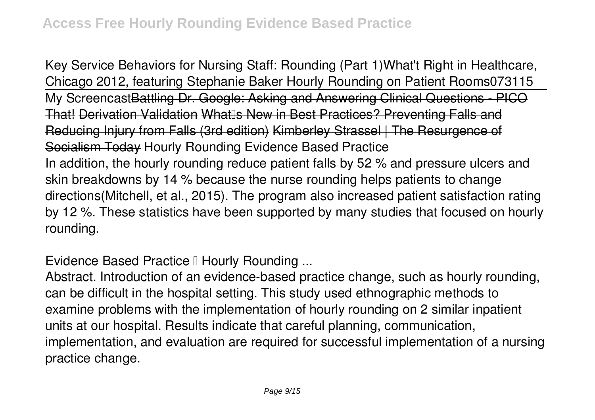Key Service Behaviors for Nursing Staff: Rounding (Part 1)*What't Right in Healthcare, Chicago 2012, featuring Stephanie Baker Hourly Rounding on Patient Rooms073115* My ScreencastBattling Dr. Google: Asking and Answering Clinical Questions - PICO That! Derivation Validation What Rew in Best Practices? Preventing Falls and Reducing Injury from Falls (3rd edition) Kimberley Strassel | The Resurgence Socialism Today *Hourly Rounding Evidence Based Practice* In addition, the hourly rounding reduce patient falls by 52 % and pressure ulcers and skin breakdowns by 14 % because the nurse rounding helps patients to change directions(Mitchell, et al., 2015). The program also increased patient satisfaction rating by 12 %. These statistics have been supported by many studies that focused on hourly rounding.

**Evidence Based Practice I Hourly Rounding ...** 

Abstract. Introduction of an evidence-based practice change, such as hourly rounding, can be difficult in the hospital setting. This study used ethnographic methods to examine problems with the implementation of hourly rounding on 2 similar inpatient units at our hospital. Results indicate that careful planning, communication, implementation, and evaluation are required for successful implementation of a nursing practice change.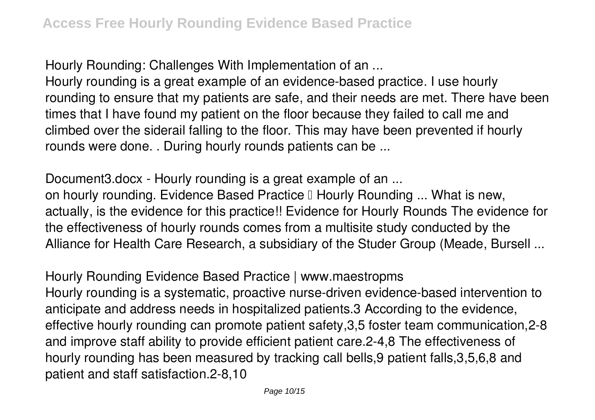*Hourly Rounding: Challenges With Implementation of an ...*

Hourly rounding is a great example of an evidence-based practice. I use hourly rounding to ensure that my patients are safe, and their needs are met. There have been times that I have found my patient on the floor because they failed to call me and climbed over the siderail falling to the floor. This may have been prevented if hourly rounds were done. . During hourly rounds patients can be ...

*Document3.docx - Hourly rounding is a great example of an ...* on hourly rounding. Evidence Based Practice II Hourly Rounding ... What is new, actually, is the evidence for this practice!! Evidence for Hourly Rounds The evidence for the effectiveness of hourly rounds comes from a multisite study conducted by the Alliance for Health Care Research, a subsidiary of the Studer Group (Meade, Bursell ...

*Hourly Rounding Evidence Based Practice | www.maestropms* Hourly rounding is a systematic, proactive nurse-driven evidence-based intervention to anticipate and address needs in hospitalized patients.3 According to the evidence, effective hourly rounding can promote patient safety,3,5 foster team communication,2-8 and improve staff ability to provide efficient patient care.2-4,8 The effectiveness of hourly rounding has been measured by tracking call bells,9 patient falls,3,5,6,8 and patient and staff satisfaction.2-8,10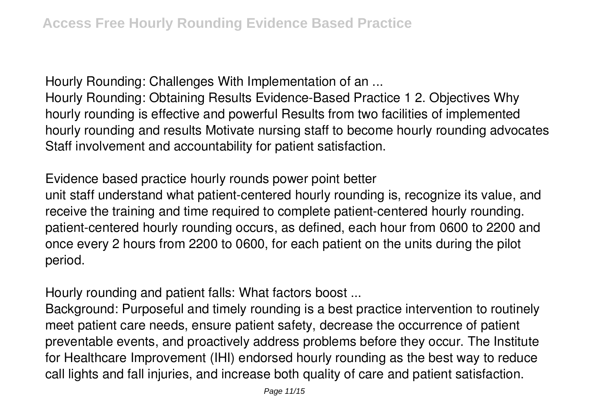*Hourly Rounding: Challenges With Implementation of an ...*

Hourly Rounding: Obtaining Results Evidence-Based Practice 1 2. Objectives Why hourly rounding is effective and powerful Results from two facilities of implemented hourly rounding and results Motivate nursing staff to become hourly rounding advocates Staff involvement and accountability for patient satisfaction.

*Evidence based practice hourly rounds power point better* unit staff understand what patient-centered hourly rounding is, recognize its value, and receive the training and time required to complete patient-centered hourly rounding. patient-centered hourly rounding occurs, as defined, each hour from 0600 to 2200 and once every 2 hours from 2200 to 0600, for each patient on the units during the pilot period.

*Hourly rounding and patient falls: What factors boost ...*

Background: Purposeful and timely rounding is a best practice intervention to routinely meet patient care needs, ensure patient safety, decrease the occurrence of patient preventable events, and proactively address problems before they occur. The Institute for Healthcare Improvement (IHI) endorsed hourly rounding as the best way to reduce call lights and fall injuries, and increase both quality of care and patient satisfaction.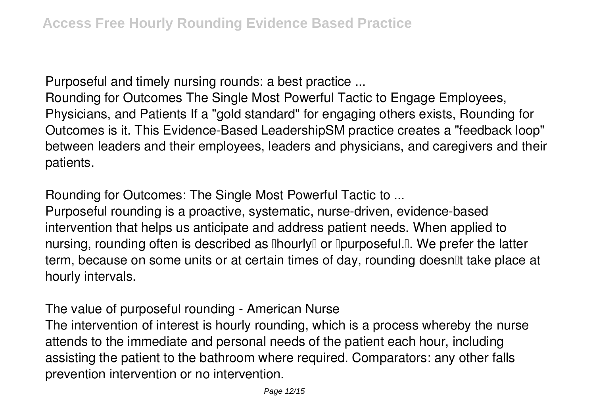*Purposeful and timely nursing rounds: a best practice ...*

Rounding for Outcomes The Single Most Powerful Tactic to Engage Employees, Physicians, and Patients If a "gold standard" for engaging others exists, Rounding for Outcomes is it. This Evidence-Based LeadershipSM practice creates a "feedback loop" between leaders and their employees, leaders and physicians, and caregivers and their patients.

*Rounding for Outcomes: The Single Most Powerful Tactic to ...*

Purposeful rounding is a proactive, systematic, nurse-driven, evidence-based intervention that helps us anticipate and address patient needs. When applied to nursing, rounding often is described as  $\Box$ hourly $\Box$  or  $\Box$ purposeful. $\Box$ . We prefer the latter term, because on some units or at certain times of day, rounding doesn<sup>''</sup> take place at hourly intervals.

*The value of purposeful rounding - American Nurse*

The intervention of interest is hourly rounding, which is a process whereby the nurse attends to the immediate and personal needs of the patient each hour, including assisting the patient to the bathroom where required. Comparators: any other falls prevention intervention or no intervention.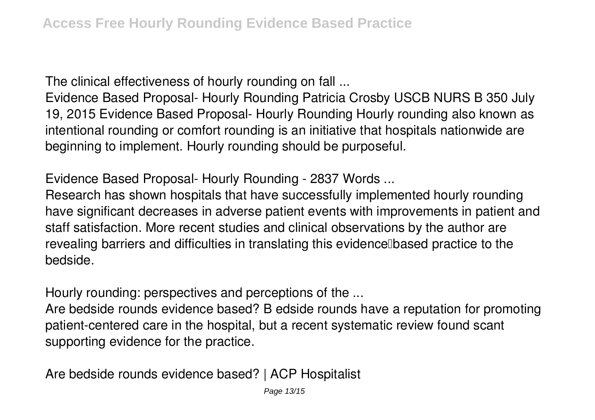*The clinical effectiveness of hourly rounding on fall ...*

Evidence Based Proposal- Hourly Rounding Patricia Crosby USCB NURS B 350 July 19, 2015 Evidence Based Proposal- Hourly Rounding Hourly rounding also known as intentional rounding or comfort rounding is an initiative that hospitals nationwide are beginning to implement. Hourly rounding should be purposeful.

*Evidence Based Proposal- Hourly Rounding - 2837 Words ...*

Research has shown hospitals that have successfully implemented hourly rounding have significant decreases in adverse patient events with improvements in patient and staff satisfaction. More recent studies and clinical observations by the author are revealing barriers and difficulties in translating this evidence based practice to the bedside.

*Hourly rounding: perspectives and perceptions of the ...*

Are bedside rounds evidence based? B edside rounds have a reputation for promoting patient-centered care in the hospital, but a recent systematic review found scant supporting evidence for the practice.

*Are bedside rounds evidence based? | ACP Hospitalist*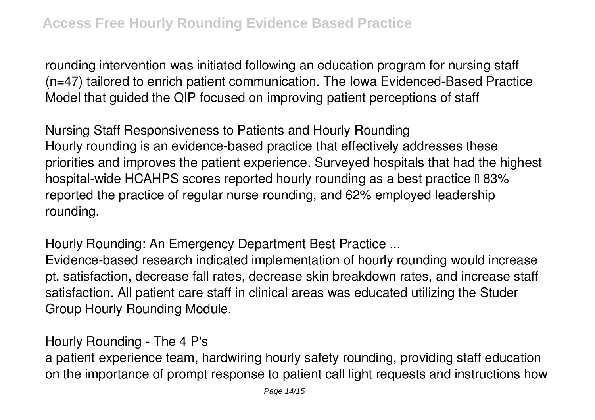rounding intervention was initiated following an education program for nursing staff (n=47) tailored to enrich patient communication. The Iowa Evidenced-Based Practice Model that guided the QIP focused on improving patient perceptions of staff

*Nursing Staff Responsiveness to Patients and Hourly Rounding* Hourly rounding is an evidence-based practice that effectively addresses these priorities and improves the patient experience. Surveyed hospitals that had the highest hospital-wide HCAHPS scores reported hourly rounding as a best practice  $\mathbb I$  83% reported the practice of regular nurse rounding, and 62% employed leadership rounding.

*Hourly Rounding: An Emergency Department Best Practice ...*

Evidence-based research indicated implementation of hourly rounding would increase pt. satisfaction, decrease fall rates, decrease skin breakdown rates, and increase staff satisfaction. All patient care staff in clinical areas was educated utilizing the Studer Group Hourly Rounding Module.

*Hourly Rounding - The 4 P's*

a patient experience team, hardwiring hourly safety rounding, providing staff education on the importance of prompt response to patient call light requests and instructions how